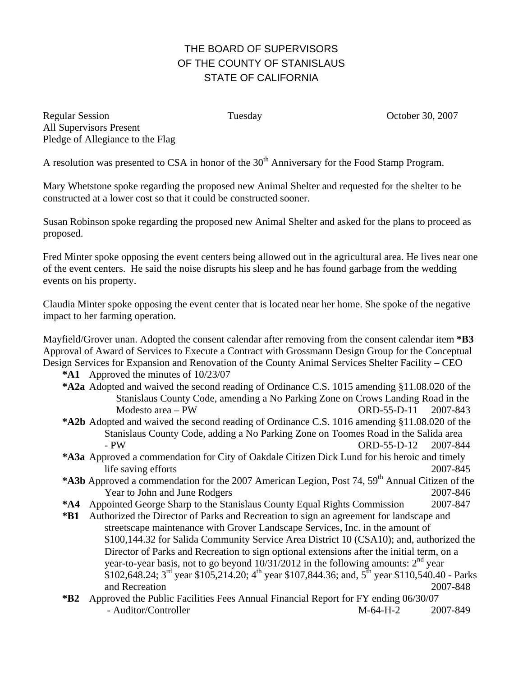## THE BOARD OF SUPERVISORS OF THE COUNTY OF STANISLAUS STATE OF CALIFORNIA

Regular Session Tuesday October 30, 2007 All Supervisors Present Pledge of Allegiance to the Flag

A resolution was presented to CSA in honor of the  $30<sup>th</sup>$  Anniversary for the Food Stamp Program.

Mary Whetstone spoke regarding the proposed new Animal Shelter and requested for the shelter to be constructed at a lower cost so that it could be constructed sooner.

Susan Robinson spoke regarding the proposed new Animal Shelter and asked for the plans to proceed as proposed.

Fred Minter spoke opposing the event centers being allowed out in the agricultural area. He lives near one of the event centers. He said the noise disrupts his sleep and he has found garbage from the wedding events on his property.

Claudia Minter spoke opposing the event center that is located near her home. She spoke of the negative impact to her farming operation.

Mayfield/Grover unan. Adopted the consent calendar after removing from the consent calendar item **\*B3**  Approval of Award of Services to Execute a Contract with Grossmann Design Group for the Conceptual Design Services for Expansion and Renovation of the County Animal Services Shelter Facility – CEO

**\*A1** Approved the minutes of 10/23/07

- **\*A2a** Adopted and waived the second reading of Ordinance C.S. 1015 amending §11.08.020 of the Stanislaus County Code, amending a No Parking Zone on Crows Landing Road in the Modesto area – PW ORD-55-D-11 2007-843
- **\*A2b** Adopted and waived the second reading of Ordinance C.S. 1016 amending §11.08.020 of the Stanislaus County Code, adding a No Parking Zone on Toomes Road in the Salida area - PW ORD-55-D-12 2007-844
- **\*A3a** Approved a commendation for City of Oakdale Citizen Dick Lund for his heroic and timely life saving efforts 2007-845
- \*A3b Approved a commendation for the 2007 American Legion, Post 74, 59<sup>th</sup> Annual Citizen of the Year to John and June Rodgers 2007-846
- **\*A4** Appointed George Sharp to the Stanislaus County Equal Rights Commission 2007-847
- **\*B1** Authorized the Director of Parks and Recreation to sign an agreement for landscape and streetscape maintenance with Grover Landscape Services, Inc. in the amount of \$100,144.32 for Salida Community Service Area District 10 (CSA10); and, authorized the Director of Parks and Recreation to sign optional extensions after the initial term, on a year-to-year basis, not to go beyond  $10/31/2012$  in the following amounts:  $2<sup>nd</sup>$  year  $$102,648.24$ ; 3<sup>rd</sup> year \$105,214.20; 4<sup>th</sup> year \$107,844.36; and, 5<sup>th</sup> year \$110,540.40 - Parks and Recreation 2007-848
- **\*B2** Approved the Public Facilities Fees Annual Financial Report for FY ending 06/30/07 - Auditor/Controller M-64-H-2 2007-849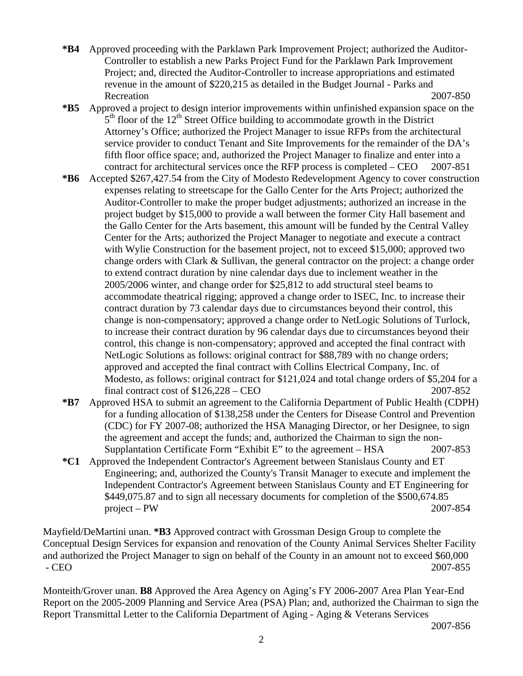- **\*B4** Approved proceeding with the Parklawn Park Improvement Project; authorized the Auditor-Controller to establish a new Parks Project Fund for the Parklawn Park Improvement Project; and, directed the Auditor-Controller to increase appropriations and estimated revenue in the amount of \$220,215 as detailed in the Budget Journal - Parks and Recreation 2007-850
- **\*B5** Approved a project to design interior improvements within unfinished expansion space on the  $5<sup>th</sup>$  floor of the 12<sup>th</sup> Street Office building to accommodate growth in the District Attorney's Office; authorized the Project Manager to issue RFPs from the architectural service provider to conduct Tenant and Site Improvements for the remainder of the DA's fifth floor office space; and, authorized the Project Manager to finalize and enter into a contract for architectural services once the RFP process is completed – CEO 2007-851
- **\*B6** Accepted \$267,427.54 from the City of Modesto Redevelopment Agency to cover construction expenses relating to streetscape for the Gallo Center for the Arts Project; authorized the Auditor-Controller to make the proper budget adjustments; authorized an increase in the project budget by \$15,000 to provide a wall between the former City Hall basement and the Gallo Center for the Arts basement, this amount will be funded by the Central Valley Center for the Arts; authorized the Project Manager to negotiate and execute a contract with Wylie Construction for the basement project, not to exceed \$15,000; approved two change orders with Clark & Sullivan, the general contractor on the project: a change order to extend contract duration by nine calendar days due to inclement weather in the 2005/2006 winter, and change order for \$25,812 to add structural steel beams to accommodate theatrical rigging; approved a change order to ISEC, Inc. to increase their contract duration by 73 calendar days due to circumstances beyond their control, this change is non-compensatory; approved a change order to NetLogic Solutions of Turlock, to increase their contract duration by 96 calendar days due to circumstances beyond their control, this change is non-compensatory; approved and accepted the final contract with NetLogic Solutions as follows: original contract for \$88,789 with no change orders; approved and accepted the final contract with Collins Electrical Company, Inc. of Modesto, as follows: original contract for \$121,024 and total change orders of \$5,204 for a final contract cost of \$126,228 – CEO 2007-852
- **\*B7** Approved HSA to submit an agreement to the California Department of Public Health (CDPH) for a funding allocation of \$138,258 under the Centers for Disease Control and Prevention (CDC) for FY 2007-08; authorized the HSA Managing Director, or her Designee, to sign the agreement and accept the funds; and, authorized the Chairman to sign the non-Supplantation Certificate Form "Exhibit E" to the agreement – HSA 2007-853
- **\*C1** Approved the Independent Contractor's Agreement between Stanislaus County and ET Engineering; and, authorized the County's Transit Manager to execute and implement the Independent Contractor's Agreement between Stanislaus County and ET Engineering for \$449,075.87 and to sign all necessary documents for completion of the \$500,674.85 project – PW 2007-854

Mayfield/DeMartini unan. **\*B3** Approved contract with Grossman Design Group to complete the Conceptual Design Services for expansion and renovation of the County Animal Services Shelter Facility and authorized the Project Manager to sign on behalf of the County in an amount not to exceed \$60,000 - CEO 2007-855

Monteith/Grover unan. **B8** Approved the Area Agency on Aging's FY 2006-2007 Area Plan Year-End Report on the 2005-2009 Planning and Service Area (PSA) Plan; and, authorized the Chairman to sign the Report Transmittal Letter to the California Department of Aging - Aging & Veterans Services

2007-856